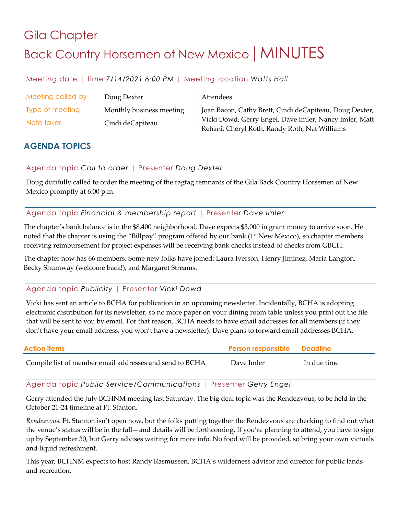# Gila Chapter Back Country Horsemen of New Mexico | MINUTES

Meeting date | time *7/14/2021 6:00 PM* | Meeting location *Watts Hall*

| Meeting called by | Doug Dexter              | Attendees                                               |
|-------------------|--------------------------|---------------------------------------------------------|
| Type of meeting   | Monthly business meeting | Joan Bacon, Cathy Brett, Cindi deCapiteau, Doug Dexter, |
| Note taker        | Cindi deCapiteau         | Vicki Dowd, Gerry Engel, Dave Imler, Nancy Imler, Matt  |
|                   |                          | Rehani, Cheryl Roth, Randy Roth, Nat Williams           |

# **AGENDA TOPICS**

Agenda topic *Call to order* | Presenter *Doug Dexter*

Doug dutifully called to order the meeting of the ragtag remnants of the Gila Back Country Horsemen of New Mexico promptly at 6:00 p.m.

## Agenda topic *Financial & membership report* | Presenter *Dave Imler*

The chapter's bank balance is in the \$8,400 neighborhood. Dave expects \$3,000 in grant money to arrive soon. He noted that the chapter is using the "Billpay" program offered by our bank (1<sup>st</sup> New Mexico), so chapter members receiving reimbursement for project expenses will be receiving bank checks instead of checks from GBCH.

The chapter now has 66 members. Some new folks have joined: Laura Iverson, Henry Jiminez, Maria Langton, Becky Shumway (welcome back!), and Margaret Streams.

# Agenda topic *Publicity* | Presenter *Vicki Dowd*

Vicki has sent an article to BCHA for publication in an upcoming newsletter. Incidentally, BCHA is adopting electronic distribution for its newsletter, so no more paper on your dining room table unless you print out the file that will be sent to you by email. For that reason, BCHA needs to have email addresses for all members (if they don't have your email address, you won't have a newsletter). Dave plans to forward email addresses BCHA.

| Action items                                            | <b>Person responsible Deadline</b> |             |
|---------------------------------------------------------|------------------------------------|-------------|
| Compile list of member email addresses and send to BCHA | Dave Imler                         | In due time |

Agenda topic *Public Service/Communications* | Presenter *Gerry Engel*

Gerry attended the July BCHNM meeting last Saturday. The big deal topic was the Rendezvous, to be held in the October 21-24 timeline at Ft. Stanton.

*Rendezvous*. Ft. Stanton isn't open now, but the folks putting together the Rendezvous are checking to find out what the venue's status will be in the fall—and details will be forthcoming. If you're planning to attend, you have to sign up by September 30, but Gerry advises waiting for more info. No food will be provided, so bring your own victuals and liquid refreshment.

This year, BCHNM expects to host Randy Rasmussen, BCHA's wilderness advisor and director for public lands and recreation.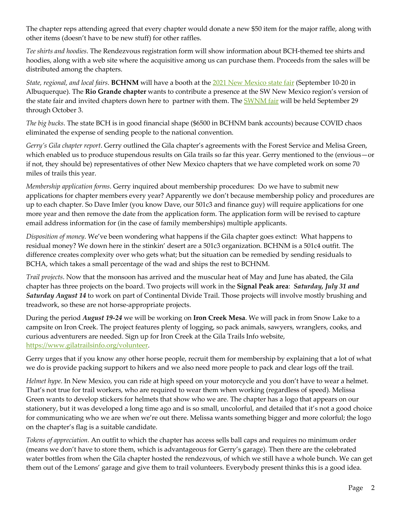The chapter reps attending agreed that every chapter would donate a new \$50 item for the major raffle, along with other items (doesn't have to be new stuff) for other raffles.

*Tee shirts and hoodies*. The Rendezvous registration form will show information about BCH-themed tee shirts and hoodies, along with a web site where the acquisitive among us can purchase them. Proceeds from the sales will be distributed among the chapters.

*State, regional, and local fairs*. **BCHNM** will have a booth at the 2021 New Mexico state fair (September 10-20 in Albuquerque). The **Rio Grande chapter** wants to contribute a presence at the SW New Mexico region's version of the state fair and invited chapters down here to partner with them. The **SWNM** fair will be held September 29 through October 3.

*The big bucks*. The state BCH is in good financial shape (\$6500 in BCHNM bank accounts) because COVID chaos eliminated the expense of sending people to the national convention.

*Gerry's Gila chapter report*. Gerry outlined the Gila chapter's agreements with the Forest Service and Melisa Green, which enabled us to produce stupendous results on Gila trails so far this year. Gerry mentioned to the (envious—or if not, they should be) representatives of other New Mexico chapters that we have completed work on some 70 miles of trails this year.

*Membership application forms*. Gerry inquired about membership procedures: Do we have to submit new applications for chapter members every year? Apparently we don't because membership policy and procedures are up to each chapter. So Dave Imler (you know Dave, our 501c3 and finance guy) will require applications for one more year and then remove the date from the application form. The application form will be revised to capture email address information for (in the case of family memberships) multiple applicants.

*Disposition of money*. We've been wondering what happens if the Gila chapter goes extinct: What happens to residual money? We down here in the stinkin' desert are a 501c3 organization. BCHNM is a 501c4 outfit. The difference creates complexity over who gets what; but the situation can be remedied by sending residuals to BCHA, which takes a small percentage of the wad and ships the rest to BCHNM.

*Trail projects*. Now that the monsoon has arrived and the muscular heat of May and June has abated, the Gila chapter has three projects on the board. Two projects will work in the **Signal Peak area**: *Saturday, July 31 and Saturday August 14* to work on part of Continental Divide Trail. Those projects will involve mostly brushing and treadwork, so these are not horse-appropriate projects.

During the period *August 19-24* we will be working on **Iron Creek Mesa**. We will pack in from Snow Lake to a campsite on Iron Creek. The project features plenty of logging, so pack animals, sawyers, wranglers, cooks, and curious adventurers are needed. Sign up for Iron Creek at the Gila Trails Info website, https://www.gilatrailsinfo.org/volunteer.

Gerry urges that if you know any other horse people, recruit them for membership by explaining that a lot of what we do is provide packing support to hikers and we also need more people to pack and clear logs off the trail.

*Helmet hype*. In New Mexico, you can ride at high speed on your motorcycle and you don't have to wear a helmet. That's not true for trail workers, who are required to wear them when working (regardless of speed). Melissa Green wants to develop stickers for helmets that show who we are. The chapter has a logo that appears on our stationery, but it was developed a long time ago and is so small, uncolorful, and detailed that it's not a good choice for communicating who we are when we're out there. Melissa wants something bigger and more colorful; the logo on the chapter's flag is a suitable candidate.

*Tokens of appreciation*. An outfit to which the chapter has access sells ball caps and requires no minimum order (means we don't have to store them, which is advantageous for Gerry's garage). Then there are the celebrated water bottles from when the Gila chapter hosted the rendezvous, of which we still have a whole bunch. We can get them out of the Lemons' garage and give them to trail volunteers. Everybody present thinks this is a good idea.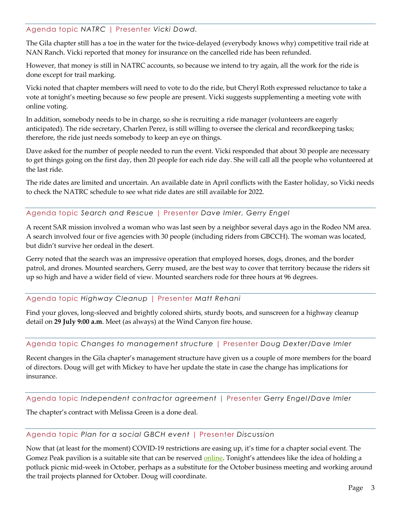#### Agenda topic *NATRC* | Presenter *Vicki Dowd.*

The Gila chapter still has a toe in the water for the twice-delayed (everybody knows why) competitive trail ride at NAN Ranch. Vicki reported that money for insurance on the cancelled ride has been refunded.

However, that money is still in NATRC accounts, so because we intend to try again, all the work for the ride is done except for trail marking.

Vicki noted that chapter members will need to vote to do the ride, but Cheryl Roth expressed reluctance to take a vote at tonight's meeting because so few people are present. Vicki suggests supplementing a meeting vote with online voting.

In addition, somebody needs to be in charge, so she is recruiting a ride manager (volunteers are eagerly anticipated). The ride secretary, Charlen Perez, is still willing to oversee the clerical and recordkeeping tasks; therefore, the ride just needs somebody to keep an eye on things.

Dave asked for the number of people needed to run the event. Vicki responded that about 30 people are necessary to get things going on the first day, then 20 people for each ride day. She will call all the people who volunteered at the last ride.

The ride dates are limited and uncertain. An available date in April conflicts with the Easter holiday, so Vicki needs to check the NATRC schedule to see what ride dates are still available for 2022.

#### Agenda topic *Search and Rescue* | Presenter *Dave Imler, Gerry Engel*

A recent SAR mission involved a woman who was last seen by a neighbor several days ago in the Rodeo NM area. A search involved four or five agencies with 30 people (including riders from GBCCH). The woman was located, but didn't survive her ordeal in the desert.

Gerry noted that the search was an impressive operation that employed horses, dogs, drones, and the border patrol, and drones. Mounted searchers, Gerry mused, are the best way to cover that territory because the riders sit up so high and have a wider field of view. Mounted searchers rode for three hours at 96 degrees.

#### Agenda topic *Highway Cleanup* | Presenter *Matt Rehani*

Find your gloves, long-sleeved and brightly colored shirts, sturdy boots, and sunscreen for a highway cleanup detail on **29 July 9:00 a.m**. Meet (as always) at the Wind Canyon fire house.

#### Agenda topic *Changes to management structure* | Presenter *Doug Dexter/Dave Imler*

Recent changes in the Gila chapter's management structure have given us a couple of more members for the board of directors. Doug will get with Mickey to have her update the state in case the change has implications for insurance.

Agenda topic *Independent contractor agreement* | Presenter *Gerry Engel/Dave Imler*

The chapter's contract with Melissa Green is a done deal.

#### Agenda topic *Plan for a social GBCH event* | Presenter *Discussion*

Now that (at least for the moment) COVID-19 restrictions are easing up, it's time for a chapter social event. The Gomez Peak pavilion is a suitable site that can be reserved online. Tonight's attendees like the idea of holding a potluck picnic mid-week in October, perhaps as a substitute for the October business meeting and working around the trail projects planned for October. Doug will coordinate.